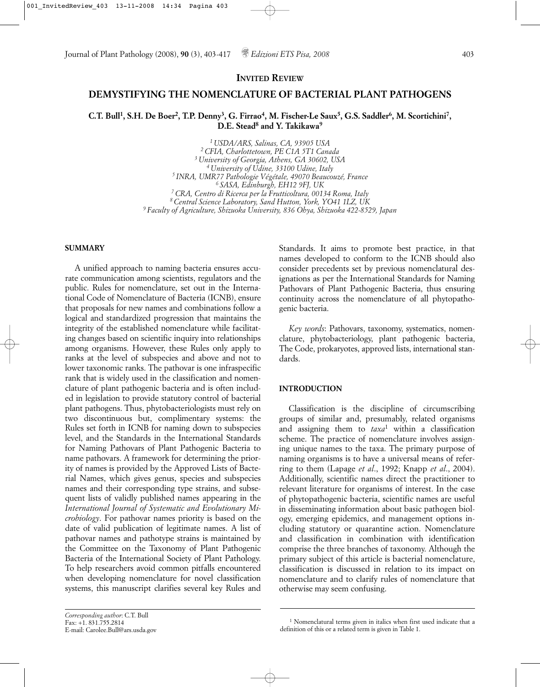## **INVITED REVIEW**

## **DEMYSTIFYING THE NOMENCLATURE OF BACTERIAL PLANT PATHOGENS**

**C.T. Bull1, S.H. De Boer2, T.P. Denny3, G. Firrao4, M. Fischer-Le Saux5, G.S. Saddler6, M. Scortichini7, D.E. Stead8 and Y. Takikawa9**

> *1 USDA/ARS, Salinas, CA, 93905 USA 2 CFIA, Charlottetown, PE C1A 5T1 Canada 3 University of Georgia, Athens, GA 30602, USA 4 University of Udine, 33100 Udine, Italy 5 INRA, UMR77 Pathologie Végétale, 49070 Beaucouzé, France 6 SASA, Edinburgh, EH12 9FJ, UK 7 CRA, Centro di Ricerca per la Frutticoltura, 00134 Roma, Italy 8 Central Science Laboratory, Sand Hutton, York, YO41 1LZ, UK 9 Faculty of Agriculture, Shizuoka University, 836 Ohya, Shizuoka 422-8529, Japan*

## **SUMMARY**

A unified approach to naming bacteria ensures accurate communication among scientists, regulators and the public. Rules for nomenclature, set out in the International Code of Nomenclature of Bacteria (ICNB), ensure that proposals for new names and combinations follow a logical and standardized progression that maintains the integrity of the established nomenclature while facilitating changes based on scientific inquiry into relationships among organisms. However, these Rules only apply to ranks at the level of subspecies and above and not to lower taxonomic ranks. The pathovar is one infraspecific rank that is widely used in the classification and nomenclature of plant pathogenic bacteria and is often included in legislation to provide statutory control of bacterial plant pathogens. Thus, phytobacteriologists must rely on two discontinuous but, complimentary systems: the Rules set forth in ICNB for naming down to subspecies level, and the Standards in the International Standards for Naming Pathovars of Plant Pathogenic Bacteria to name pathovars. A framework for determining the priority of names is provided by the Approved Lists of Bacterial Names, which gives genus, species and subspecies names and their corresponding type strains, and subsequent lists of validly published names appearing in the *International Journal of Systematic and Evolutionary Microbiology*. For pathovar names priority is based on the date of valid publication of legitimate names. A list of pathovar names and pathotype strains is maintained by the Committee on the Taxonomy of Plant Pathogenic Bacteria of the International Society of Plant Pathology. To help researchers avoid common pitfalls encountered when developing nomenclature for novel classification systems, this manuscript clarifies several key Rules and

*Corresponding author*: C.T. Bull Fax: +1. 831.755.2814 E-mail: Carolee.Bull@ars.usda.gov Standards. It aims to promote best practice, in that names developed to conform to the ICNB should also consider precedents set by previous nomenclatural designations as per the International Standards for Naming Pathovars of Plant Pathogenic Bacteria, thus ensuring continuity across the nomenclature of all phytopathogenic bacteria.

*Key words*: Pathovars, taxonomy, systematics, nomenclature, phytobacteriology, plant pathogenic bacteria, The Code, prokaryotes, approved lists, international standards.

### **INTRODUCTION**

Classification is the discipline of circumscribing groups of similar and, presumably, related organisms and assigning them to *taxa*<sup>1</sup> within a classification scheme. The practice of nomenclature involves assigning unique names to the taxa. The primary purpose of naming organisms is to have a universal means of referring to them (Lapage *et al*., 1992; Knapp *et al*., 2004). Additionally, scientific names direct the practitioner to relevant literature for organisms of interest. In the case of phytopathogenic bacteria, scientific names are useful in disseminating information about basic pathogen biology, emerging epidemics, and management options including statutory or quarantine action. Nomenclature and classification in combination with identification comprise the three branches of taxonomy. Although the primary subject of this article is bacterial nomenclature, classification is discussed in relation to its impact on nomenclature and to clarify rules of nomenclature that otherwise may seem confusing.

<sup>&</sup>lt;sup>1</sup> Nomenclatural terms given in italics when first used indicate that a definition of this or a related term is given in Table 1.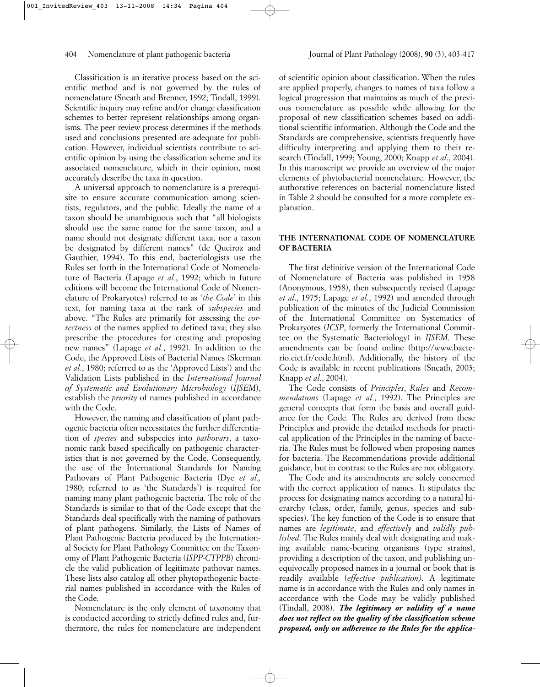Classification is an iterative process based on the scientific method and is not governed by the rules of nomenclature (Sneath and Brenner, 1992; Tindall, 1999). Scientific inquiry may refine and/or change classification schemes to better represent relationships among organisms. The peer review process determines if the methods used and conclusions presented are adequate for publication. However, individual scientists contribute to scientific opinion by using the classification scheme and its associated nomenclature, which in their opinion, most accurately describe the taxa in question.

A universal approach to nomenclature is a prerequisite to ensure accurate communication among scientists, regulators, and the public. Ideally the name of a taxon should be unambiguous such that "all biologists should use the same name for the same taxon, and a name should not designate different taxa, nor a taxon be designated by different names" (de Queiroz and Gauthier, 1994). To this end, bacteriologists use the Rules set forth in the International Code of Nomenclature of Bacteria (Lapage *et al.*, 1992; which in future editions will become the International Code of Nomenclature of Prokaryotes) referred to as '*the Code*' in this text, for naming taxa at the rank of *subspecies* and above. "The Rules are primarily for assessing the *correctness* of the names applied to defined taxa; they also prescribe the procedures for creating and proposing new names" (Lapage *et al.*, 1992). In addition to the Code, the Approved Lists of Bacterial Names (Skerman *et al*., 1980; referred to as the 'Approved Lists') and the Validation Lists published in the *International Journal of Systematic and Evolutionary Microbiology* (*IJSEM*), establish the *priority* of names published in accordance with the Code.

However, the naming and classification of plant pathogenic bacteria often necessitates the further differentiation of *species* and subspecies into *pathovars*, a taxonomic rank based specifically on pathogenic characteristics that is not governed by the Code. Consequently, the use of the International Standards for Naming Pathovars of Plant Pathogenic Bacteria (Dye *et al.,* 1980; referred to as 'the Standards') is required for naming many plant pathogenic bacteria. The role of the Standards is similar to that of the Code except that the Standards deal specifically with the naming of pathovars of plant pathogens. Similarly, the Lists of Names of Plant Pathogenic Bacteria produced by the International Society for Plant Pathology Committee on the Taxonomy of Plant Pathogenic Bacteria (*ISPP-CTPPB*) chronicle the valid publication of legitimate pathovar names. These lists also catalog all other phytopathogenic bacterial names published in accordance with the Rules of the Code.

Nomenclature is the only element of taxonomy that is conducted according to strictly defined rules and, furthermore, the rules for nomenclature are independent of scientific opinion about classification. When the rules are applied properly, changes to names of taxa follow a logical progression that maintains as much of the previous nomenclature as possible while allowing for the proposal of new classification schemes based on additional scientific information. Although the Code and the Standards are comprehensive, scientists frequently have difficulty interpreting and applying them to their research (Tindall, 1999; Young, 2000; Knapp *et al*., 2004). In this manuscript we provide an overview of the major elements of phytobacterial nomenclature. However, the authorative references on bacterial nomenclature listed in Table 2 should be consulted for a more complete explanation.

## **THE INTERNATIONAL CODE OF NOMENCLATURE OF BACTERIA**

The first definitive version of the International Code of Nomenclature of Bacteria was published in 1958 (Anonymous, 1958), then subsequently revised (Lapage *et al*., 1975; Lapage *et al*., 1992) and amended through publication of the minutes of the Judicial Commission of the International Committee on Systematics of Prokaryotes (*ICSP*, formerly the International Committee on the Systematic Bacteriology) in *IJSEM*. These amendments can be found online (http://www.bacterio.cict.fr/code.html). Additionally, the history of the Code is available in recent publications (Sneath, 2003; Knapp *et al*., 2004).

The Code consists of *Principles*, *Rules* and *Recommendations* (Lapage *et al.*, 1992). The Principles are general concepts that form the basis and overall guidance for the Code. The Rules are derived from these Principles and provide the detailed methods for practical application of the Principles in the naming of bacteria. The Rules must be followed when proposing names for bacteria. The Recommendations provide additional guidance, but in contrast to the Rules are not obligatory.

The Code and its amendments are solely concerned with the correct application of names. It stipulates the process for designating names according to a natural hierarchy (class, order, family, genus, species and subspecies). The key function of the Code is to ensure that names are *legitimate*, and *effectively* and *validly published*. The Rules mainly deal with designating and making available name-bearing organisms (type strains), providing a description of the taxon, and publishing unequivocally proposed names in a journal or book that is readily available (*effective publication)*. A legitimate name is in accordance with the Rules and only names in accordance with the Code may be validly published (Tindall, 2008). *The legitimacy or validity of a name does not reflect on the quality of the classification scheme proposed, only on adherence to the Rules for the applica-*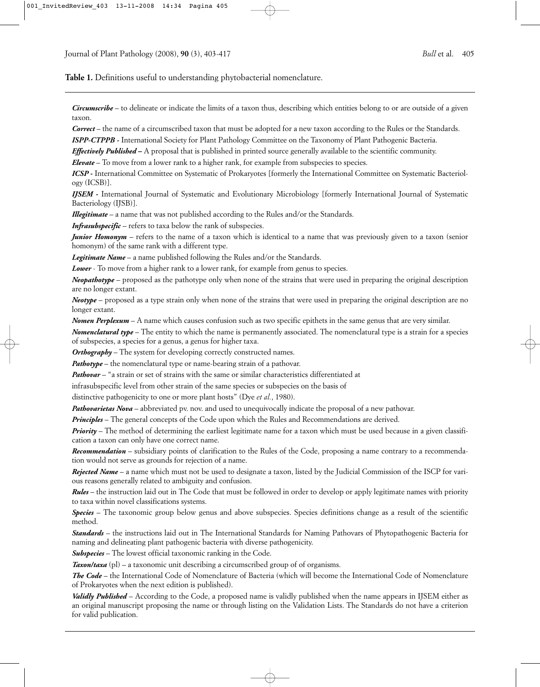**Table 1.** Definitions useful to understanding phytobacterial nomenclature.

*Circumscribe* – to delineate or indicate the limits of a taxon thus, describing which entities belong to or are outside of a given taxon.

*Correct* – the name of a circumscribed taxon that must be adopted for a new taxon according to the Rules or the Standards. *ISPP-CTPPB -* International Society for Plant Pathology Committee on the Taxonomy of Plant Pathogenic Bacteria.

*Effectively Published* **–** A proposal that is published in printed source generally available to the scientific community.

*Elevate* – To move from a lower rank to a higher rank, for example from subspecies to species.

*ICSP* **-** International Committee on Systematic of Prokaryotes [formerly the International Committee on Systematic Bacteriology (ICSB)].

*IJSEM* **-** International Journal of Systematic and Evolutionary Microbiology [formerly International Journal of Systematic Bacteriology (IJSB)].

*Illegitimate* – a name that was not published according to the Rules and/or the Standards.

*Infrasubspecific* – refers to taxa below the rank of subspecies.

*Junior Homonym* – refers to the name of a taxon which is identical to a name that was previously given to a taxon (senior homonym) of the same rank with a different type.

*Legitimate Name* – a name published following the Rules and/or the Standards.

*Lower* - To move from a higher rank to a lower rank, for example from genus to species.

*Neopathotype* – proposed as the pathotype only when none of the strains that were used in preparing the original description are no longer extant.

*Neotype* – proposed as a type strain only when none of the strains that were used in preparing the original description are no longer extant.

*Nomen Perplexum* – A name which causes confusion such as two specific epithets in the same genus that are very similar.

*Nomenclatural type* – The entity to which the name is permanently associated. The nomenclatural type is a strain for a species of subspecies, a species for a genus, a genus for higher taxa.

**Orthography** – The system for developing correctly constructed names.

*Pathotype* – the nomenclatural type or name-bearing strain of a pathovar.

*Pathovar* – "a strain or set of strains with the same or similar characteristics differentiated at

infrasubspecific level from other strain of the same species or subspecies on the basis of

distinctive pathogenicity to one or more plant hosts" (Dye *et al.*, 1980).

*Pathovarietas Nova* – abbreviated pv. nov. and used to unequivocally indicate the proposal of a new pathovar.

*Principles* – The general concepts of the Code upon which the Rules and Recommendations are derived.

*Priority* – The method of determining the earliest legitimate name for a taxon which must be used because in a given classification a taxon can only have one correct name.

*Recommendation* – subsidiary points of clarification to the Rules of the Code, proposing a name contrary to a recommendation would not serve as grounds for rejection of a name.

*Rejected Name* – a name which must not be used to designate a taxon, listed by the Judicial Commission of the ISCP for various reasons generally related to ambiguity and confusion.

*Rules* – the instruction laid out in The Code that must be followed in order to develop or apply legitimate names with priority to taxa within novel classifications systems.

*Species* – The taxonomic group below genus and above subspecies. Species definitions change as a result of the scientific method.

*Standards* – the instructions laid out in The International Standards for Naming Pathovars of Phytopathogenic Bacteria for naming and delineating plant pathogenic bacteria with diverse pathogenicity.

*Subspecies* – The lowest official taxonomic ranking in the Code.

*Taxon/taxa* (pl) – a taxonomic unit describing a circumscribed group of of organisms.

*The Code* – the International Code of Nomenclature of Bacteria (which will become the International Code of Nomenclature of Prokaryotes when the next edition is published).

*Validly Published* – According to the Code, a proposed name is validly published when the name appears in IJSEM either as an original manuscript proposing the name or through listing on the Validation Lists. The Standards do not have a criterion for valid publication.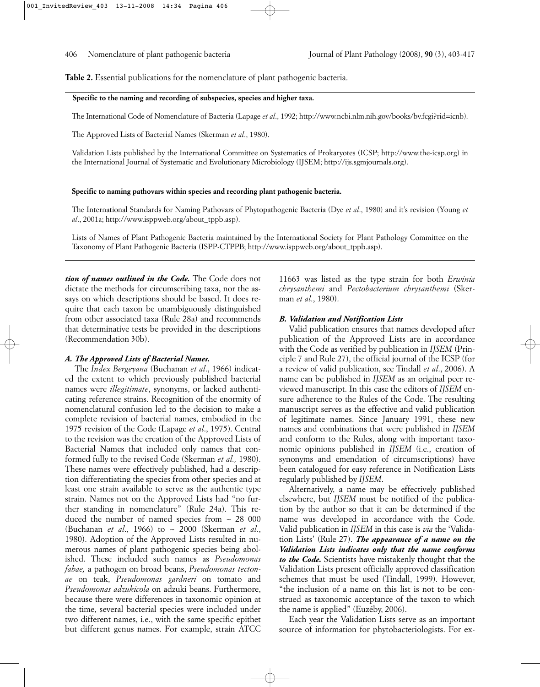**Table 2.** Essential publications for the nomenclature of plant pathogenic bacteria.

#### **Specific to the naming and recording of subspecies, species and higher taxa.**

The International Code of Nomenclature of Bacteria (Lapage *et al*., 1992; http://www.ncbi.nlm.nih.gov/books/bv.fcgi?rid=icnb).

The Approved Lists of Bacterial Names (Skerman *et al*., 1980).

Validation Lists published by the International Committee on Systematics of Prokaryotes (ICSP; http://www.the-icsp.org) in the International Journal of Systematic and Evolutionary Microbiology (IJSEM; http://ijs.sgmjournals.org).

#### **Specific to naming pathovars within species and recording plant pathogenic bacteria.**

The International Standards for Naming Pathovars of Phytopathogenic Bacteria (Dye *et al*., 1980) and it's revision (Young *et al*., 2001a; http://www.isppweb.org/about\_tppb.asp).

Lists of Names of Plant Pathogenic Bacteria maintained by the International Society for Plant Pathology Committee on the Taxonomy of Plant Pathogenic Bacteria (ISPP-CTPPB; http://www.isppweb.org/about\_tppb.asp).

*tion of names outlined in the Code.* The Code does not dictate the methods for circumscribing taxa, nor the assays on which descriptions should be based. It does require that each taxon be unambiguously distinguished from other associated taxa (Rule 28a) and recommends that determinative tests be provided in the descriptions (Recommendation 30b).

#### *A. The Approved Lists of Bacterial Names.*

The *Index Bergeyana* (Buchanan *et al*., 1966) indicated the extent to which previously published bacterial names were *illegitimate*, synonyms, or lacked authenticating reference strains. Recognition of the enormity of nomenclatural confusion led to the decision to make a complete revision of bacterial names, embodied in the 1975 revision of the Code (Lapage *et al*., 1975). Central to the revision was the creation of the Approved Lists of Bacterial Names that included only names that conformed fully to the revised Code (Skerman *et al.,* 1980). These names were effectively published, had a description differentiating the species from other species and at least one strain available to serve as the authentic type strain. Names not on the Approved Lists had "no further standing in nomenclature" (Rule 24a). This reduced the number of named species from ~ 28 000 (Buchanan *et al*., 1966) to ~ 2000 (Skerman *et al*., 1980). Adoption of the Approved Lists resulted in numerous names of plant pathogenic species being abolished. These included such names as *Pseudomonas fabae,* a pathogen on broad beans, *Pseudomonas tectonae* on teak, *Pseudomonas gardneri* on tomato and *Pseudomonas adzukicola* on adzuki beans. Furthermore, because there were differences in taxonomic opinion at the time, several bacterial species were included under two different names, i.e., with the same specific epithet but different genus names. For example, strain ATCC

11663 was listed as the type strain for both *Erwinia chrysanthemi* and *Pectobacterium chrysanthemi* (Skerman *et al*., 1980).

#### *B. Validation and Notification Lists*

Valid publication ensures that names developed after publication of the Approved Lists are in accordance with the Code as verified by publication in *IJSEM* (Principle 7 and Rule 27), the official journal of the ICSP (for a review of valid publication, see Tindall *et al*., 2006). A name can be published in *IJSEM* as an original peer reviewed manuscript. In this case the editors of *IJSEM* ensure adherence to the Rules of the Code. The resulting manuscript serves as the effective and valid publication of legitimate names. Since January 1991, these new names and combinations that were published in *IJSEM* and conform to the Rules, along with important taxonomic opinions published in *IJSEM* (i.e., creation of synonyms and emendation of circumscriptions) have been catalogued for easy reference in Notification Lists regularly published by *IJSEM*.

Alternatively, a name may be effectively published elsewhere, but *IJSEM* must be notified of the publication by the author so that it can be determined if the name was developed in accordance with the Code. Valid publication in *IJSEM* in this case is *via* the 'Validation Lists' (Rule 27). *The appearance of a name on the Validation Lists indicates only that the name conforms to the Code.* Scientists have mistakenly thought that the Validation Lists present officially approved classification schemes that must be used (Tindall, 1999). However, "the inclusion of a name on this list is not to be construed as taxonomic acceptance of the taxon to which the name is applied" (Euzéby, 2006).

Each year the Validation Lists serve as an important source of information for phytobacteriologists. For ex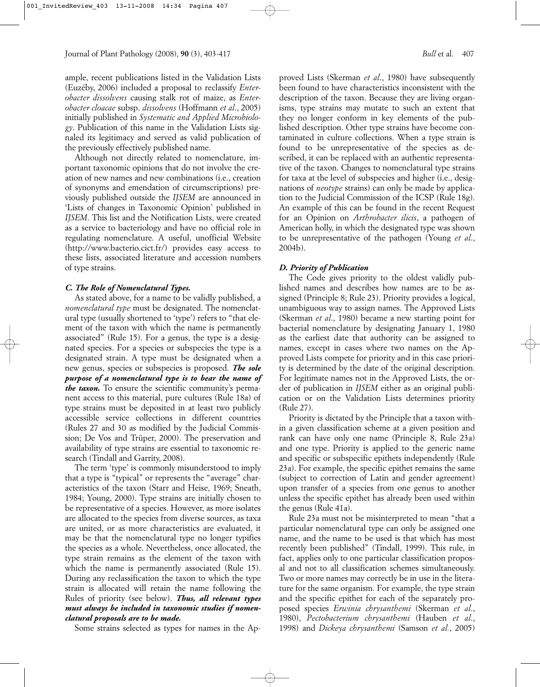ample, recent publications listed in the Validation Lists (Euzéby, 2006) included a proposal to reclassify *Enterobacter dissolvens* causing stalk rot of maize, as *Enterobacter cloacae* subsp. *dissolvens* (Hoffmann *et al*., 2005) initially published in *Systematic and Applied Microbiology*. Publication of this name in the Validation Lists signaled its legitimacy and served as valid publication of the previously effectively published name.

Although not directly related to nomenclature, important taxonomic opinions that do not involve the creation of new names and new combinations (i.e., creation of synonyms and emendation of circumscriptions) previously published outside the *IJSEM* are announced in 'Lists of changes in Taxonomic Opinion' published in *IJSEM*. This list and the Notification Lists, were created as a service to bacteriology and have no official role in regulating nomenclature. A useful, unofficial Website (http://www.bacterio.cict.fr/) provides easy access to these lists, associated literature and accession numbers of type strains.

## *C. The Role of Nomenclatural Types.*

As stated above, for a name to be validly published, a *nomenclatural type* must be designated. The nomenclatural type (usually shortened to 'type') refers to "that element of the taxon with which the name is permanently associated" (Rule 15). For a genus, the type is a designated species. For a species or subspecies the type is a designated strain. A type must be designated when a new genus, species or subspecies is proposed. *The sole purpose of a nomenclatural type is to bear the name of the taxon*. To ensure the scientific community's permanent access to this material, pure cultures (Rule 18a) of type strains must be deposited in at least two publicly accessible service collections in different countries (Rules 27 and 30 as modified by the Judicial Commission; De Vos and Trüper, 2000). The preservation and availability of type strains are essential to taxonomic research (Tindall and Garrity, 2008).

The term 'type' is commonly misunderstood to imply that a type is "typical" or represents the "average" characteristics of the taxon (Starr and Heise, 1969; Sneath, 1984; Young, 2000). Type strains are initially chosen to be representative of a species. However, as more isolates are allocated to the species from diverse sources, as taxa are united, or as more characteristics are evaluated, it may be that the nomenclatural type no longer typifies the species as a whole. Nevertheless, once allocated, the type strain remains as the element of the taxon with which the name is permanently associated (Rule 15). During any reclassification the taxon to which the type strain is allocated will retain the name following the Rules of priority (see below). *Thus, all relevant types must always be included in taxonomic studies if nomenclatural proposals are to be made.*

Some strains selected as types for names in the Ap-

proved Lists (Skerman *et al*., 1980) have subsequently been found to have characteristics inconsistent with the description of the taxon. Because they are living organisms, type strains may mutate to such an extent that they no longer conform in key elements of the published description. Other type strains have become contaminated in culture collections. When a type strain is found to be unrepresentative of the species as described, it can be replaced with an authentic representative of the taxon. Changes to nomenclatural type strains for taxa at the level of subspecies and higher (i.e., designations of *neotype* strains) can only be made by application to the Judicial Commission of the ICSP (Rule 18g). An example of this can be found in the recent Request for an Opinion on *Arthrobacter ilicis*, a pathogen of American holly, in which the designated type was shown to be unrepresentative of the pathogen (Young *et al*., 2004b).

#### *D. Priority of Publication*

The Code gives priority to the oldest validly published names and describes how names are to be assigned (Principle 8; Rule 23). Priority provides a logical, unambiguous way to assign names. The Approved Lists (Skerman *et al*., 1980) became a new starting point for bacterial nomenclature by designating January 1, 1980 as the earliest date that authority can be assigned to names, except in cases where two names on the Approved Lists compete for priority and in this case priority is determined by the date of the original description. For legitimate names not in the Approved Lists, the order of publication in *IJSEM* either as an original publication or on the Validation Lists determines priority (Rule 27).

Priority is dictated by the Principle that a taxon within a given classification scheme at a given position and rank can have only one name (Principle 8, Rule 23a) and one type. Priority is applied to the generic name and specific or subspecific epithets independently (Rule 23a). For example, the specific epithet remains the same (subject to correction of Latin and gender agreement) upon transfer of a species from one genus to another unless the specific epithet has already been used within the genus (Rule 41a).

Rule 23a must not be misinterpreted to mean "that a particular nomenclatural type can only be assigned one name, and the name to be used is that which has most recently been published" (Tindall, 1999). This rule, in fact, applies only to one particular classification proposal and not to all classification schemes simultaneously. Two or more names may correctly be in use in the literature for the same organism. For example, the type strain and the specific epithet for each of the separately proposed species *Erwinia chrysanthemi* (Skerman *et al*., 1980), *Pectobacterium chrysanthemi* (Hauben *et al*., 1998) and *Dickeya chrysanthemi* (Samson *et al.*, 2005)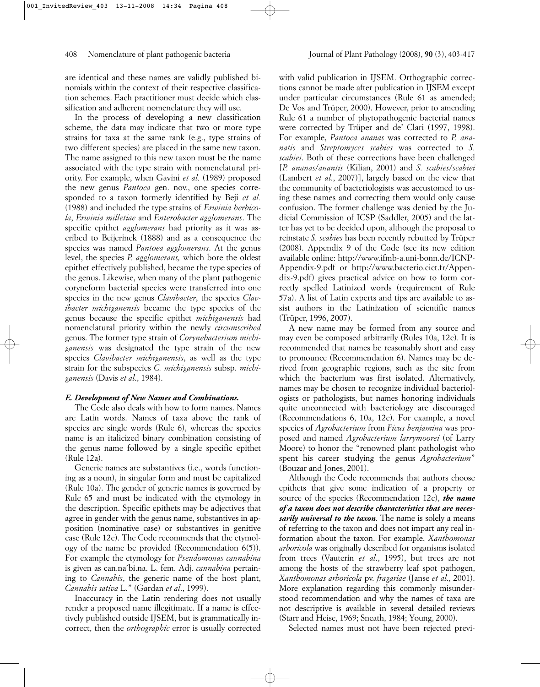are identical and these names are validly published binomials within the context of their respective classification schemes. Each practitioner must decide which classification and adherent nomenclature they will use.

In the process of developing a new classification scheme, the data may indicate that two or more type strains for taxa at the same rank (e.g., type strains of two different species) are placed in the same new taxon. The name assigned to this new taxon must be the name associated with the type strain with nomenclatural priority. For example, when Gavini *et al.* (1989) proposed the new genus *Pantoea* gen. nov., one species corresponded to a taxon formerly identified by Beji *et al.* (1988) and included the type strains of *Erwinia herbicola*, *Erwinia milletiae* and *Enterobacter agglomerans*. The specific epithet *agglomerans* had priority as it was ascribed to Beijerinck (1888) and as a consequence the species was named *Pantoea agglomerans*. At the genus level, the species *P. agglomerans,* which bore the oldest epithet effectively published, became the type species of the genus. Likewise, when many of the plant pathogenic coryneform bacterial species were transferred into one species in the new genus *Clavibacter*, the species *Clavibacter michiganensis* became the type species of the genus because the specific epithet *michiganensis* had nomenclatural priority within the newly *circumscribed* genus. The former type strain of *Corynebacterium michiganensis* was designated the type strain of the new species *Clavibacter michiganensis*, as well as the type strain for the subspecies *C. michiganensis* subsp. *michiganensis* (Davis *et al*., 1984).

## *E. Development of New Names and Combinations.*

The Code also deals with how to form names. Names are Latin words. Names of taxa above the rank of species are single words (Rule 6), whereas the species name is an italicized binary combination consisting of the genus name followed by a single specific epithet (Rule 12a).

Generic names are substantives (i.e., words functioning as a noun), in singular form and must be capitalized (Rule 10a). The gender of generic names is governed by Rule 65 and must be indicated with the etymology in the description. Specific epithets may be adjectives that agree in gender with the genus name, substantives in apposition (nominative case) or substantives in genitive case (Rule 12c). The Code recommends that the etymology of the name be provided (Recommendation 6(5)). For example the etymology for *Pseudomonas cannabina* is given as can.na´bi.na. L. fem. Adj. *cannabina* pertaining to *Cannabis*, the generic name of the host plant, *Cannabis sativa* L." (Gardan *et al*., 1999).

Inaccuracy in the Latin rendering does not usually render a proposed name illegitimate. If a name is effectively published outside IJSEM, but is grammatically incorrect, then the *orthographic* error is usually corrected

with valid publication in IJSEM. Orthographic corrections cannot be made after publication in IJSEM except under particular circumstances (Rule 61 as amended; De Vos and Trüper, 2000). However, prior to amending Rule 61 a number of phytopathogenic bacterial names were corrected by Trüper and de' Clari (1997, 1998). For example, *Pantoea ananas* was corrected to *P. ananatis* and *Streptomyces scabies* was corrected to *S. scabiei*. Both of these corrections have been challenged [*P. ananas*/*anantis* (Kilian, 2001) and *S. scabies*/*scabiei* (Lambert *et al*., 2007)], largely based on the view that the community of bacteriologists was accustomed to using these names and correcting them would only cause confusion. The former challenge was denied by the Judicial Commission of ICSP (Saddler, 2005) and the latter has yet to be decided upon, although the proposal to reinstate *S. scabies* has been recently rebutted by Trüper (2008). Appendix 9 of the Code (see its new edition available online: http://www.ifmb-a.uni-bonn.de/ICNP-Appendix-9.pdf or http://www.bacterio.cict.fr/Appendix-9.pdf) gives practical advice on how to form correctly spelled Latinized words (requirement of Rule 57a). A list of Latin experts and tips are available to assist authors in the Latinization of scientific names (Trüper, 1996, 2007).

A new name may be formed from any source and may even be composed arbitrarily (Rules 10a, 12c). It is recommended that names be reasonably short and easy to pronounce (Recommendation 6). Names may be derived from geographic regions, such as the site from which the bacterium was first isolated. Alternatively, names may be chosen to recognize individual bacteriologists or pathologists, but names honoring individuals quite unconnected with bacteriology are discouraged (Recommendations 6, 10a, 12c). For example, a novel species of *Agrobacterium* from *Ficus benjamina* was proposed and named *Agrobacterium larrymoorei* (of Larry Moore) to honor the "renowned plant pathologist who spent his career studying the genus *Agrobacterium*" (Bouzar and Jones, 2001).

Although the Code recommends that authors choose epithets that give some indication of a property or source of the species (Recommendation 12c), *the name of a taxon does not describe characteristics that are necessarily universal to the taxon.* The name is solely a means of referring to the taxon and does not impart any real information about the taxon. For example, *Xanthomonas arboricola* was originally described for organisms isolated from trees (Vauterin *et al*., 1995), but trees are not among the hosts of the strawberry leaf spot pathogen, *Xanthomonas arboricola* pv. *fragariae* (Janse *et al*., 2001). More explanation regarding this commonly misunderstood recommendation and why the names of taxa are not descriptive is available in several detailed reviews (Starr and Heise, 1969; Sneath, 1984; Young, 2000).

Selected names must not have been rejected previ-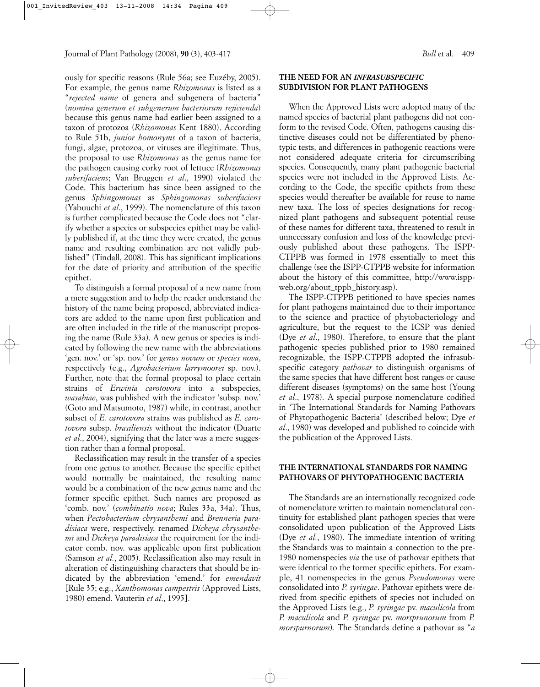ously for specific reasons (Rule 56a; see Euzéby, 2005). For example, the genus name *Rhizomonas* is listed as a "*rejected name* of genera and subgenera of bacteria" (*nomina generum et subgenerum bacteriorum rejicienda*) because this genus name had earlier been assigned to a taxon of protozoa (*Rhizomonas* Kent 1880). According to Rule 51b, *junior homonyms* of a taxon of bacteria, fungi, algae, protozoa, or viruses are illegitimate. Thus, the proposal to use *Rhizomonas* as the genus name for the pathogen causing corky root of lettuce (*Rhizomonas suberifaciens*; Van Bruggen *et al*., 1990) violated the Code. This bacterium has since been assigned to the genus *Sphingomonas* as *Sphingomonas suberifaciens* (Yabuuchi *et al*., 1999). The nomenclature of this taxon is further complicated because the Code does not "clarify whether a species or subspecies epithet may be validly published if, at the time they were created, the genus name and resulting combination are not validly published" (Tindall, 2008). This has significant implications for the date of priority and attribution of the specific epithet.

To distinguish a formal proposal of a new name from a mere suggestion and to help the reader understand the history of the name being proposed, abbreviated indicators are added to the name upon first publication and are often included in the title of the manuscript proposing the name (Rule 33a). A new genus or species is indicated by following the new name with the abbreviations 'gen. nov.' or 'sp. nov.' for *genus novum* or *species nova*, respectively (e.g., *Agrobacterium larrymoorei* sp. nov.). Further, note that the formal proposal to place certain strains of *Erwinia carotovora* into a subspecies, *wasabiae*, was published with the indicator 'subsp. nov.' (Goto and Matsumoto, 1987) while, in contrast, another subset of *E. carotovora* strains was published as *E. carotovora* subsp. *brasiliensis* without the indicator (Duarte *et al*., 2004), signifying that the later was a mere suggestion rather than a formal proposal.

Reclassification may result in the transfer of a species from one genus to another. Because the specific epithet would normally be maintained, the resulting name would be a combination of the new genus name and the former specific epithet. Such names are proposed as 'comb. nov.' (*combinatio nova*; Rules 33a, 34a). Thus, when *Pectobacterium chrysanthemi* and *Brenneria paradisiaca* were, respectively, renamed *Dickeya chrysanthemi* and *Dickeya paradisiaca* the requirement for the indicator comb. nov. was applicable upon first publication (Samson *et al.*, 2005). Reclassification also may result in alteration of distinguishing characters that should be indicated by the abbreviation 'emend.' for *emendavit* [Rule 35; e.g., *Xanthomonas campestris* (Approved Lists, 1980) emend. Vauterin *et al*., 1995].

# **THE NEED FOR AN** *INFRASUBSPECIFIC* **SUBDIVISION FOR PLANT PATHOGENS**

When the Approved Lists were adopted many of the named species of bacterial plant pathogens did not conform to the revised Code. Often, pathogens causing distinctive diseases could not be differentiated by phenotypic tests, and differences in pathogenic reactions were not considered adequate criteria for circumscribing species. Consequently, many plant pathogenic bacterial species were not included in the Approved Lists. According to the Code, the specific epithets from these species would thereafter be available for reuse to name new taxa. The loss of species designations for recognized plant pathogens and subsequent potential reuse of these names for different taxa, threatened to result in unnecessary confusion and loss of the knowledge previously published about these pathogens. The ISPP-CTPPB was formed in 1978 essentially to meet this challenge (see the ISPP-CTPPB website for information about the history of this committee, http://www.isppweb.org/about\_tppb\_history.asp).

The ISPP-CTPPB petitioned to have species names for plant pathogens maintained due to their importance to the science and practice of phytobacteriology and agriculture, but the request to the ICSP was denied (Dye *et al*., 1980). Therefore, to ensure that the plant pathogenic species published prior to 1980 remained recognizable, the ISPP-CTPPB adopted the infrasubspecific category *pathovar* to distinguish organisms of the same species that have different host ranges or cause different diseases (symptoms) on the same host (Young *et al*., 1978). A special purpose nomenclature codified in 'The International Standards for Naming Pathovars of Phytopathogenic Bacteria' (described below; Dye *et al*., 1980) was developed and published to coincide with the publication of the Approved Lists.

## **THE INTERNATIONAL STANDARDS FOR NAMING PATHOVARS OF PHYTOPATHOGENIC BACTERIA**

The Standards are an internationally recognized code of nomenclature written to maintain nomenclatural continuity for established plant pathogen species that were consolidated upon publication of the Approved Lists (Dye *et al.*, 1980). The immediate intention of writing the Standards was to maintain a connection to the pre-1980 nomenspecies *via* the use of pathovar epithets that were identical to the former specific epithets. For example, 41 nomenspecies in the genus *Pseudomonas* were consolidated into *P. syringae*. Pathovar epithets were derived from specific epithets of species not included on the Approved Lists (e.g., *P. syringae* pv. *maculicola* from *P. maculicola* and *P. syringae* pv. *morsprunorum* from *P. morspurnorum*). The Standards define a pathovar as "*a*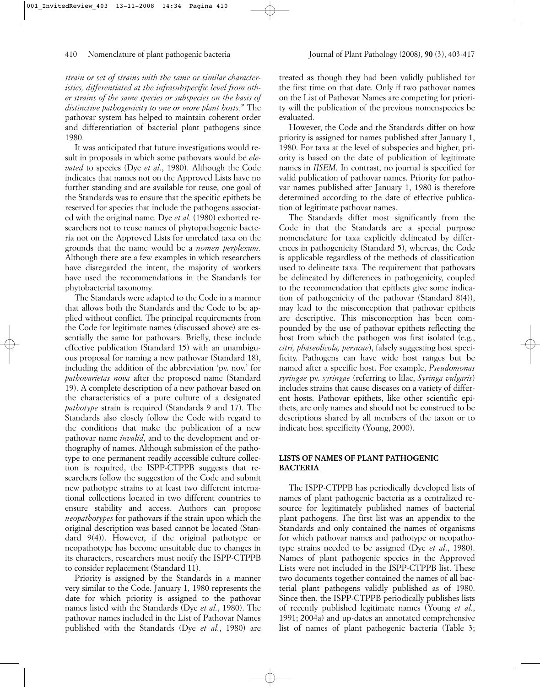*strain or set of strains with the same or similar characteristics, differentiated at the infrasubspecific level from other strains of the same species or subspecies on the basis of distinctive pathogenicity to one or more plant hosts.*" The pathovar system has helped to maintain coherent order and differentiation of bacterial plant pathogens since 1980.

It was anticipated that future investigations would result in proposals in which some pathovars would be *elevated* to species (Dye *et al*., 1980). Although the Code indicates that names not on the Approved Lists have no further standing and are available for reuse, one goal of the Standards was to ensure that the specific epithets be reserved for species that include the pathogens associated with the original name. Dye *et al.* (1980) exhorted researchers not to reuse names of phytopathogenic bacteria not on the Approved Lists for unrelated taxa on the grounds that the name would be a *nomen perplexum.* Although there are a few examples in which researchers have disregarded the intent, the majority of workers have used the recommendations in the Standards for phytobacterial taxonomy.

The Standards were adapted to the Code in a manner that allows both the Standards and the Code to be applied without conflict. The principal requirements from the Code for legitimate names (discussed above) are essentially the same for pathovars. Briefly, these include effective publication (Standard 15) with an unambiguous proposal for naming a new pathovar (Standard 18), including the addition of the abbreviation 'pv. nov.' for *pathovarietas nova* after the proposed name (Standard 19). A complete description of a new pathovar based on the characteristics of a pure culture of a designated *pathotype* strain is required (Standards 9 and 17). The Standards also closely follow the Code with regard to the conditions that make the publication of a new pathovar name *invalid*, and to the development and orthography of names. Although submission of the pathotype to one permanent readily accessible culture collection is required, the ISPP-CTPPB suggests that researchers follow the suggestion of the Code and submit new pathotype strains to at least two different international collections located in two different countries to ensure stability and access. Authors can propose *neopathotypes* for pathovars if the strain upon which the original description was based cannot be located (Standard 9(4)). However, if the original pathotype or neopathotype has become unsuitable due to changes in its characters, researchers must notify the ISPP-CTPPB to consider replacement (Standard 11).

Priority is assigned by the Standards in a manner very similar to the Code. January 1, 1980 represents the date for which priority is assigned to the pathovar names listed with the Standards (Dye *et al.*, 1980). The pathovar names included in the List of Pathovar Names published with the Standards (Dye *et al.*, 1980) are

treated as though they had been validly published for the first time on that date. Only if two pathovar names on the List of Pathovar Names are competing for priority will the publication of the previous nomenspecies be evaluated.

However, the Code and the Standards differ on how priority is assigned for names published after January 1, 1980. For taxa at the level of subspecies and higher, priority is based on the date of publication of legitimate names in *IJSEM*. In contrast, no journal is specified for valid publication of pathovar names. Priority for pathovar names published after January 1, 1980 is therefore determined according to the date of effective publication of legitimate pathovar names.

The Standards differ most significantly from the Code in that the Standards are a special purpose nomenclature for taxa explicitly delineated by differences in pathogenicity (Standard 5), whereas, the Code is applicable regardless of the methods of classification used to delineate taxa. The requirement that pathovars be delineated by differences in pathogenicity, coupled to the recommendation that epithets give some indication of pathogenicity of the pathovar (Standard 8(4)), may lead to the misconception that pathovar epithets are descriptive. This misconception has been compounded by the use of pathovar epithets reflecting the host from which the pathogen was first isolated (e.g., *citri, phaseolicola, persicae*), falsely suggesting host specificity. Pathogens can have wide host ranges but be named after a specific host. For example, *Pseudomonas syringae* pv. *syringae* (referring to lilac, *Syringa vulgaris*) includes strains that cause diseases on a variety of different hosts. Pathovar epithets, like other scientific epithets, are only names and should not be construed to be descriptions shared by all members of the taxon or to indicate host specificity (Young, 2000).

### **LISTS OF NAMES OF PLANT PATHOGENIC BACTERIA**

The ISPP-CTPPB has periodically developed lists of names of plant pathogenic bacteria as a centralized resource for legitimately published names of bacterial plant pathogens. The first list was an appendix to the Standards and only contained the names of organisms for which pathovar names and pathotype or neopathotype strains needed to be assigned (Dye *et al*., 1980). Names of plant pathogenic species in the Approved Lists were not included in the ISPP-CTPPB list. These two documents together contained the names of all bacterial plant pathogens validly published as of 1980. Since then, the ISPP-CTPPB periodically publishes lists of recently published legitimate names (Young *et al.*, 1991; 2004a) and up-dates an annotated comprehensive list of names of plant pathogenic bacteria (Table 3;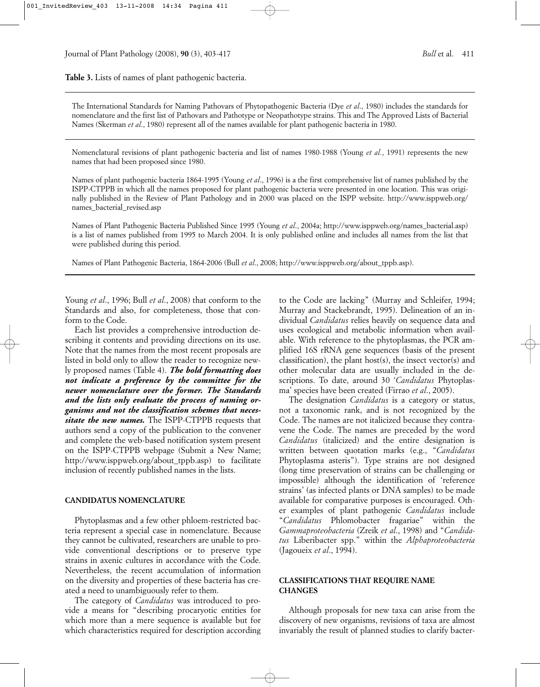**Table 3.** Lists of names of plant pathogenic bacteria.

The International Standards for Naming Pathovars of Phytopathogenic Bacteria (Dye *et al*., 1980) includes the standards for nomenclature and the first list of Pathovars and Pathotype or Neopathotype strains. This and The Approved Lists of Bacterial Names (Skerman *et al*., 1980) represent all of the names available for plant pathogenic bacteria in 1980.

Nomenclatural revisions of plant pathogenic bacteria and list of names 1980-1988 (Young *et al.*, 1991) represents the new names that had been proposed since 1980.

Names of plant pathogenic bacteria 1864-1995 (Young *et al*., 1996) is a the first comprehensive list of names published by the ISPP-CTPPB in which all the names proposed for plant pathogenic bacteria were presented in one location. This was originally published in the Review of Plant Pathology and in 2000 was placed on the ISPP website. http://www.isppweb.org/ names bacterial revised.asp

Names of Plant Pathogenic Bacteria Published Since 1995 (Young *et al*., 2004a; http://www.isppweb.org/names\_bacterial.asp) is a list of names published from 1995 to March 2004. It is only published online and includes all names from the list that were published during this period.

Names of Plant Pathogenic Bacteria, 1864-2006 (Bull *et al*., 2008; http://www.isppweb.org/about\_tppb.asp).

Young *et al*., 1996; Bull *et al*., 2008) that conform to the Standards and also, for completeness, those that conform to the Code.

Each list provides a comprehensive introduction describing it contents and providing directions on its use. Note that the names from the most recent proposals are listed in bold only to allow the reader to recognize newly proposed names (Table 4). *The bold formatting does not indicate a preference by the committee for the newer nomenclature over the former. The Standards and the lists only evaluate the process of naming organisms and not the classification schemes that necessitate the new names.* The ISPP-CTPPB requests that authors send a copy of the publication to the convener and complete the web-based notification system present on the ISPP-CTPPB webpage (Submit a New Name; http://www.isppweb.org/about\_tppb.asp) to facilitate inclusion of recently published names in the lists.

## **CANDIDATUS NOMENCLATURE**

Phytoplasmas and a few other phloem-restricted bacteria represent a special case in nomenclature. Because they cannot be cultivated, researchers are unable to provide conventional descriptions or to preserve type strains in axenic cultures in accordance with the Code. Nevertheless, the recent accumulation of information on the diversity and properties of these bacteria has created a need to unambiguously refer to them.

The category of *Candidatus* was introduced to provide a means for "describing procaryotic entities for which more than a mere sequence is available but for which characteristics required for description according to the Code are lacking" (Murray and Schleifer, 1994; Murray and Stackebrandt, 1995). Delineation of an individual *Candidatus* relies heavily on sequence data and uses ecological and metabolic information when available. With reference to the phytoplasmas, the PCR amplified 16S rRNA gene sequences (basis of the present classification), the plant host(s), the insect vector(s) and other molecular data are usually included in the descriptions. To date, around 30 '*Candidatus* Phytoplasma' species have been created (Firrao *et al*., 2005).

The designation *Candidatus* is a category or status, not a taxonomic rank, and is not recognized by the Code. The names are not italicized because they contravene the Code. The names are preceded by the word *Candidatus* (italicized) and the entire designation is written between quotation marks (e.g., "*Candidatus* Phytoplasma asteris"). Type strains are not designed (long time preservation of strains can be challenging or impossible) although the identification of 'reference strains' (as infected plants or DNA samples) to be made available for comparative purposes is encouraged. Other examples of plant pathogenic *Candidatus* include "*Candidatus* Phlomobacter fragariae" within the *Gammaproteobacteria* (Zreik *et al*., 1998) and "*Candidatus* Liberibacter spp." within the *Alphaproteobacteria* (Jagoueix *et al*., 1994).

## **CLASSIFICATIONS THAT REQUIRE NAME CHANGES**

Although proposals for new taxa can arise from the discovery of new organisms, revisions of taxa are almost invariably the result of planned studies to clarify bacter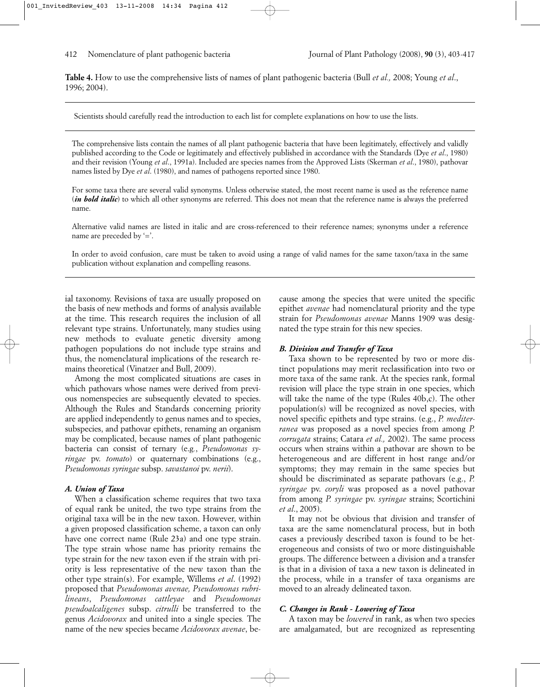**Table 4.** How to use the comprehensive lists of names of plant pathogenic bacteria (Bull *et al.,* 2008; Young *et al*., 1996; 2004).

Scientists should carefully read the introduction to each list for complete explanations on how to use the lists.

The comprehensive lists contain the names of all plant pathogenic bacteria that have been legitimately, effectively and validly published according to the Code or legitimately and effectively published in accordance with the Standards (Dye *et al*., 1980) and their revision (Young *et al*., 1991a). Included are species names from the Approved Lists (Skerman *et al*., 1980), pathovar names listed by Dye *et al*. (1980), and names of pathogens reported since 1980.

For some taxa there are several valid synonyms. Unless otherwise stated, the most recent name is used as the reference name (*in bold italic*) to which all other synonyms are referred. This does not mean that the reference name is always the preferred name.

Alternative valid names are listed in italic and are cross-referenced to their reference names; synonyms under a reference name are preceded by '='.

In order to avoid confusion, care must be taken to avoid using a range of valid names for the same taxon/taxa in the same publication without explanation and compelling reasons.

ial taxonomy. Revisions of taxa are usually proposed on the basis of new methods and forms of analysis available at the time. This research requires the inclusion of all relevant type strains. Unfortunately, many studies using new methods to evaluate genetic diversity among pathogen populations do not include type strains and thus, the nomenclatural implications of the research remains theoretical (Vinatzer and Bull, 2009).

Among the most complicated situations are cases in which pathovars whose names were derived from previous nomenspecies are subsequently elevated to species. Although the Rules and Standards concerning priority are applied independently to genus names and to species, subspecies, and pathovar epithets, renaming an organism may be complicated, because names of plant pathogenic bacteria can consist of ternary (e.g*.*, *Pseudomonas syringae* pv. *tomato*) or quaternary combinations (e.g., *Pseudomonas syringae* subsp. *savastanoi* pv. *nerii*).

## *A. Union of Taxa*

When a classification scheme requires that two taxa of equal rank be united, the two type strains from the original taxa will be in the new taxon. However, within a given proposed classification scheme, a taxon can only have one correct name (Rule 23a) and one type strain. The type strain whose name has priority remains the type strain for the new taxon even if the strain with priority is less representative of the new taxon than the other type strain(s). For example, Willems *et al*. (1992) proposed that *Pseudomonas avenae, Pseudomonas rubrilineans*, *Pseudomonas cattleyae* and *Pseudomonas pseudoalcaligenes* subsp. *citrulli* be transferred to the genus *Acidovorax* and united into a single species*.* The name of the new species became *Acidovorax avenae*, because among the species that were united the specific epithet *avenae* had nomenclatural priority and the type strain for *Pseudomonas avenae* Manns 1909 was designated the type strain for this new species.

### *B. Division and Transfer of Taxa*

Taxa shown to be represented by two or more distinct populations may merit reclassification into two or more taxa of the same rank. At the species rank, formal revision will place the type strain in one species, which will take the name of the type (Rules 40b,c). The other population(s) will be recognized as novel species, with novel specific epithets and type strains. (e.g., *P. mediterranea* was proposed as a novel species from among *P. corrugata* strains; Catara *et al.,* 2002). The same process occurs when strains within a pathovar are shown to be heterogeneous and are different in host range and/or symptoms; they may remain in the same species but should be discriminated as separate pathovars (e.g., *P. syringae* pv. *coryli* was proposed as a novel pathovar from among *P. syringae* pv. *syringae* strains; Scortichini *et al*., 2005).

It may not be obvious that division and transfer of taxa are the same nomenclatural process, but in both cases a previously described taxon is found to be heterogeneous and consists of two or more distinguishable groups. The difference between a division and a transfer is that in a division of taxa a new taxon is delineated in the process, while in a transfer of taxa organisms are moved to an already delineated taxon.

### *C. Changes in Rank - Lowering of Taxa*

A taxon may be *lowered* in rank, as when two species are amalgamated, but are recognized as representing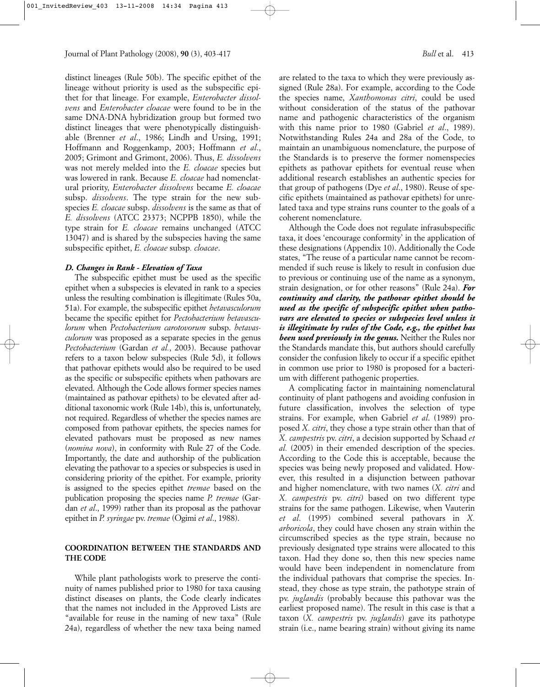distinct lineages (Rule 50b). The specific epithet of the lineage without priority is used as the subspecific epithet for that lineage. For example, *Enterobacter dissolvens* and *Enterobacter cloacae* were found to be in the same DNA-DNA hybridization group but formed two distinct lineages that were phenotypically distinguishable (Brenner *et al*., 1986; Lindh and Ursing, 1991; Hoffmann and Roggenkamp, 2003; Hoffmann *et al*., 2005; Grimont and Grimont, 2006). Thus, *E. dissolvens* was not merely melded into the *E. cloacae* species but was lowered in rank. Because *E. cloacae* had nomenclatural priority, *Enterobacter dissolvens* became *E. cloacae* subsp. *dissolvens*. The type strain for the new subspecies *E. cloacae* subsp. *dissolvens* is the same as that of *E. dissolvens* (ATCC 23373; NCPPB 1850), while the type strain for *E. cloacae* remains unchanged (ATCC 13047) and is shared by the subspecies having the same subspecific epithet, *E. cloacae* subsp*. cloacae*.

#### *D. Changes in Rank - Elevation of Taxa*

The subspecific epithet must be used as the specific epithet when a subspecies is elevated in rank to a species unless the resulting combination is illegitimate (Rules 50a, 51a). For example, the subspecific epithet *betavasculorum* became the specific epithet for *Pectobacterium betavasculorum* when *Pectobacterium carotovorum* subsp. *betavasculorum* was proposed as a separate species in the genus *Pectobacterium* (Gardan *et al.*, 2003). Because pathovar refers to a taxon below subspecies (Rule 5d), it follows that pathovar epithets would also be required to be used as the specific or subspecific epithets when pathovars are elevated. Although the Code allows former species names (maintained as pathovar epithets) to be elevated after additional taxonomic work (Rule 14b), this is, unfortunately, not required. Regardless of whether the species names are composed from pathovar epithets, the species names for elevated pathovars must be proposed as new names (*nomina nova*), in conformity with Rule 27 of the Code. Importantly, the date and authorship of the publication elevating the pathovar to a species or subspecies is used in considering priority of the epithet. For example, priority is assigned to the species epithet *tremae* based on the publication proposing the species name *P. tremae* (Gardan *et al*., 1999) rather than its proposal as the pathovar epithet in *P. syringae* pv. *tremae* (Ogimi *et al*., 1988).

### **COORDINATION BETWEEN THE STANDARDS AND THE CODE**

While plant pathologists work to preserve the continuity of names published prior to 1980 for taxa causing distinct diseases on plants, the Code clearly indicates that the names not included in the Approved Lists are "available for reuse in the naming of new taxa" (Rule 24a), regardless of whether the new taxa being named are related to the taxa to which they were previously assigned (Rule 28a). For example, according to the Code the species name, *Xanthomonas citri*, could be used without consideration of the status of the pathovar name and pathogenic characteristics of the organism with this name prior to 1980 (Gabriel *et al*., 1989). Notwithstanding Rules 24a and 28a of the Code, to maintain an unambiguous nomenclature, the purpose of the Standards is to preserve the former nomenspecies epithets as pathovar epithets for eventual reuse when additional research establishes an authentic species for that group of pathogens (Dye *et al*., 1980). Reuse of specific epithets (maintained as pathovar epithets) for unrelated taxa and type strains runs counter to the goals of a coherent nomenclature.

Although the Code does not regulate infrasubspecific taxa, it does 'encourage conformity' in the application of these designations (Appendix 10). Additionally the Code states, "The reuse of a particular name cannot be recommended if such reuse is likely to result in confusion due to previous or continuing use of the name as a synonym, strain designation, or for other reasons" (Rule 24a). *For continuity and clarity, the pathovar epithet should be used as the specific of subspecific epithet when pathovars are elevated to species or subspecies level unless it is illegitimate by rules of the Code, e.g., the epithet has been used previously in the genus.* Neither the Rules nor the Standards mandate this, but authors should carefully consider the confusion likely to occur if a specific epithet in common use prior to 1980 is proposed for a bacterium with different pathogenic properties.

A complicating factor in maintaining nomenclatural continuity of plant pathogens and avoiding confusion in future classification, involves the selection of type strains. For example, when Gabriel *et al*. (1989) proposed *X. citri*, they chose a type strain other than that of *X. campestris* pv. *citri*, a decision supported by Schaad *et al.* (2005) in their emended description of the species. According to the Code this is acceptable, because the species was being newly proposed and validated. However, this resulted in a disjunction between pathovar and higher nomenclature, with two names (*X. citri* and *X. campestris* pv. *citri)* based on two different type strains for the same pathogen. Likewise, when Vauterin *et al*. (1995) combined several pathovars in *X. arboricola*, they could have chosen any strain within the circumscribed species as the type strain, because no previously designated type strains were allocated to this taxon. Had they done so, then this new species name would have been independent in nomenclature from the individual pathovars that comprise the species. Instead, they chose as type strain, the pathotype strain of pv. *juglandis* (probably because this pathovar was the earliest proposed name). The result in this case is that a taxon (*X. campestris* pv. *juglandis*) gave its pathotype strain (i.e., name bearing strain) without giving its name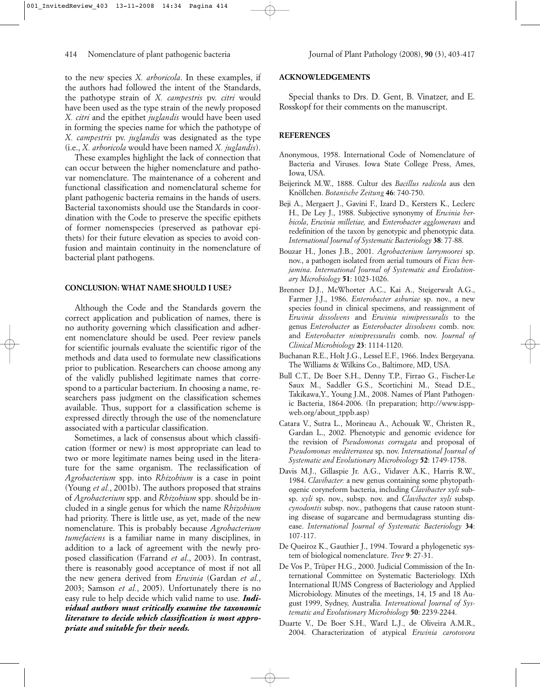to the new species *X. arboricola*. In these examples, if the authors had followed the intent of the Standards, the pathotype strain of *X. campestris* pv. *citri* would have been used as the type strain of the newly proposed *X. citri* and the epithet *juglandis* would have been used in forming the species name for which the pathotype of *X. campestris* pv. *juglandis* was designated as the type (i.e., *X. arboricola* would have been named *X. juglandis*).

These examples highlight the lack of connection that can occur between the higher nomenclature and pathovar nomenclature. The maintenance of a coherent and functional classification and nomenclatural scheme for plant pathogenic bacteria remains in the hands of users. Bacterial taxonomists should use the Standards in coordination with the Code to preserve the specific epithets of former nomenspecies (preserved as pathovar epithets) for their future elevation as species to avoid confusion and maintain continuity in the nomenclature of bacterial plant pathogens.

### **CONCLUSION: WHAT NAME SHOULD I USE?**

Although the Code and the Standards govern the correct application and publication of names, there is no authority governing which classification and adherent nomenclature should be used. Peer review panels for scientific journals evaluate the scientific rigor of the methods and data used to formulate new classifications prior to publication. Researchers can choose among any of the validly published legitimate names that correspond to a particular bacterium. In choosing a name, researchers pass judgment on the classification schemes available. Thus, support for a classification scheme is expressed directly through the use of the nomenclature associated with a particular classification.

Sometimes, a lack of consensus about which classification (former or new) is most appropriate can lead to two or more legitimate names being used in the literature for the same organism. The reclassification of *Agrobacterium* spp. into *Rhizobium* is a case in point (Young *et al.*, 2001b). The authors proposed that strains of *Agrobacterium* spp. and *Rhizobium* spp. should be included in a single genus for which the name *Rhizobium* had priority. There is little use, as yet, made of the new nomenclature. This is probably because *Agrobacterium tumefaciens* is a familiar name in many disciplines, in addition to a lack of agreement with the newly proposed classification (Farrand *et al*., 2003). In contrast, there is reasonably good acceptance of most if not all the new genera derived from *Erwinia* (Gardan *et al.*, 2003; Samson *et al.*, 2005). Unfortunately there is no easy rule to help decide which valid name to use. *Individual authors must critically examine the taxonomic literature to decide which classification is most appropriate and suitable for their needs.*

### **ACKNOWLEDGEMENTS**

Special thanks to Drs. D. Gent, B. Vinatzer, and E. Rosskopf for their comments on the manuscript.

#### **REFERENCES**

- Anonymous, 1958. International Code of Nomenclature of Bacteria and Viruses. Iowa State College Press, Ames, Iowa, USA.
- Beijerinck M.W., 1888. Cultur des *Bacillus radicola* aus den Knöllchen. *Botanische Zeitung* **46**: 740-750.
- Beji A., Mergaert J., Gavini F., Izard D., Kersters K., Leclerc H., De Ley J., 1988. Subjective synonymy of *Erwinia herbicola*, *Erwinia milletiae,* and *Enterobacter agglomerans* and redefinition of the taxon by genotypic and phenotypic data. *International Journal of Systematic Bacteriology* **38**: 77-88.
- Bouzar H., Jones J.B., 2001. *Agrobacterium larrymoorei* sp. nov., a pathogen isolated from aerial tumours of *Ficus benjamina*. *International Journal of Systematic and Evolutionary Microbiology* **51**: 1023-1026.
- Brenner D.J., McWhorter A.C., Kai A., Steigerwalt A.G., Farmer J.J., 1986. *Enterobacter asburiae* sp. nov., a new species found in clinical specimens, and reassignment of *Erwinia dissolvens* and *Erwinia nimipressuralis* to the genus *Enterobacter* as *Enterobacter dissolvens* comb. nov. and *Enterobacter nimipressuralis* comb. nov. *Journal of Clinical Microbiology* **23**: 1114-1120.
- Buchanan R.E., Holt J.G., Lessel E.F., 1966. Index Bergeyana. The Williams & Wilkins Co., Baltimore, MD, USA.
- Bull C.T., De Boer S.H., Denny T.P., Firrao G., Fischer-Le Saux M., Saddler G.S., Scortichini M., Stead D.E., Takikawa,Y., Young J.M., 2008. Names of Plant Pathogenic Bacteria, 1864-2006. (In preparation; http://www.isppweb.org/about\_tppb.asp)
- Catara V., Sutra L., Morineau A., Achouak W., Christen R., Gardan L., 2002. Phenotypic and genomic evidence for the revision of *Pseudomonas corrugata* and proposal of *Pseudomonas mediterranea* sp. nov. *International Journal of Systematic and Evolutionary Microbiology* **52**: 1749-1758.
- Davis M.J., Gillaspie Jr. A.G., Vidaver A.K., Harris R.W., 1984. *Clavibacter:* a new genus containing some phytopathogenic coryneform bacteria, including *Clavibacter xyli* subsp. *xyli* sp. nov., subsp. nov. and *Clavibacter xyli* subsp. *cynodontis* subsp. nov., pathogens that cause ratoon stunting disease of sugarcane and bermudagrass stunting disease. *International Journal of Systematic Bacteriology* **34**: 107-117.
- De Queiroz K., Gauthier J., 1994. Toward a phylogenetic system of biological nomenclature. *Tree* **9**: 27-31.
- De Vos P., Trüper H.G., 2000. Judicial Commission of the International Committee on Systematic Bacteriology. IXth International IUMS Congress of Bacteriology and Applied Microbiology. Minutes of the meetings, 14, 15 and 18 August 1999, Sydney, Australia*. International Journal of Systematic and Evolutionary Microbiology* **50**: 2239-2244.
- Duarte V., De Boer S.H., Ward L.J., de Oliveira A.M.R., 2004. Characterization of atypical *Erwinia carotovora*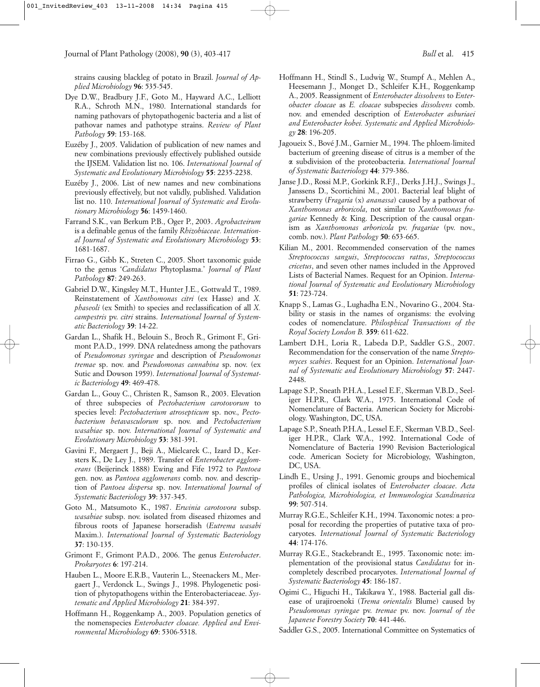strains causing blackleg of potato in Brazil. *Journal of Applied Microbiology* **96**: 535-545.

- Dye D.W., Bradbury J.F., Goto M., Hayward A.C., Lelliott R.A., Schroth M.N., 1980. International standards for naming pathovars of phytopathogenic bacteria and a list of pathovar names and pathotype strains. *Review of Plant Pathology* **59**: 153-168.
- Euzéby J., 2005. Validation of publication of new names and new combinations previously effectively published outside the IJSEM. Validation list no. 106. *International Journal of Systematic and Evolutionary Microbiology* **55**: 2235-2238.
- Euzéby J., 2006. List of new names and new combinations previously effectively, but not validly, published. Validation list no. 110. *International Journal of Systematic and Evolutionary Microbiology* **56**: 1459-1460.
- Farrand S.K., van Berkum P.B., Oger P., 2003. *Agrobacteirum* is a definable genus of the family *Rhizobiaceae. International Journal of Systematic and Evolutionary Microbiology* **53**: 1681-1687.
- Firrao G., Gibb K., Streten C., 2005. Short taxonomic guide to the genus '*Candidatus* Phytoplasma.' *Journal of Plant Pathology* **87**: 249-263.
- Gabriel D.W., Kingsley M.T., Hunter J.E., Gottwald T., 1989. Reinstatement of *Xanthomonas citri* (ex Hasse) and *X. phaseoli* (ex Smith) to species and reclassification of all *X. campestris* pv. *citri* strains. *International Journal of Systematic Bacteriology* **39**: 14-22.
- Gardan L., Shafik H., Belouin S., Broch R., Grimont F., Grimont P.A.D., 1999. DNA relatedness among the pathovars of *Pseudomonas syringae* and description of *Pseudomonas tremae* sp. nov. and *Pseudomonas cannabina* sp. nov. (ex Sutic and Dowson 1959). *International Journal of Systematic Bacteriology* **49**: 469-478.
- Gardan L., Gouy C., Christen R., Samson R., 2003. Elevation of three subspecies of *Pectobacterium carotovorum* to species level: *Pectobacterium atrosepticum* sp. nov., *Pectobacterium betavasculorum* sp. nov. and *Pectobacterium wasabiae* sp. nov. *International Journal of Systematic and Evolutionary Microbiology* **53**: 381-391.
- Gavini F., Mergaert J., Beji A., Mielcarek C., Izard D., Kersters K., De Ley J., 1989. Transfer of *Enterobacter agglomerans* (Beijerinck 1888) Ewing and Fife 1972 to *Pantoea* gen. nov. as *Pantoea agglomerans* comb. nov. and description of *Pantoea dispersa* sp. nov. *International Journal of Systematic Bacteriology* **39**: 337-345.
- Goto M., Matsumoto K., 1987. *Erwinia carotovora* subsp. *wasabiae* subsp. nov. isolated from diseased rhizomes and fibrous roots of Japanese horseradish (*Eutrema wasabi* Maxim.). *International Journal of Systematic Bacteriology* **37**: 130-135.
- Grimont F., Grimont P.A.D., 2006. The genus *Enterobacter*. *Prokaryotes* **6**: 197-214.
- Hauben L., Moore E.R.B., Vauterin L., Steenackers M., Mergaert J., Verdonck L., Swings J., 1998. Phylogenetic position of phytopathogens within the Enterobacteriaceae. *Systematic and Applied Microbiology* **21**: 384-397.
- Hoffmann H., Roggenkamp A., 2003. Population genetics of the nomenspecies *Enterobacter cloacae. Applied and Environmental Microbiology* **69**: 5306-5318.
- Hoffmann H., Stindl S., Ludwig W., Stumpf A., Mehlen A., Heesemann J., Monget D., Schleifer K.H., Roggenkamp A., 2005. Reassignment of *Enterobacter dissolvens* to *Enterobacter cloacae* as *E. cloacae* subspecies *dissolvens* comb. nov. and emended description of *Enterobacter asburiaei and Enterobacter kobei. Systematic and Applied Microbiology* **28**: 196-205.
- Jagoueix S., Bové J.M., Garnier M., 1994. The phloem-limited bacterium of greening disease of citrus is a member of the a subdivision of the proteobacteria. *International Journal of Systematic Bacteriology* **44**: 379-386.
- Janse J.D., Rossi M.P., Gorkink R.F.J., Derks J.H.J., Swings J., Janssens D., Scortichini M., 2001. Bacterial leaf blight of strawberry (*Fragaria* (x) *ananassa*) caused by a pathovar of *Xanthomonas arboricola*, not similar to *Xanthomonas fragariae* Kennedy & King. Description of the causal organism as *Xanthomonas arboricola* pv. *fragariae* (pv. nov., comb. nov.). *Plant Pathology* **50**: 653-665.
- Kilian M., 2001. Recommended conservation of the names *Streptococcus sanguis*, *Streptococcus rattus*, *Streptococcus cricetus*, and seven other names included in the Approved Lists of Bacterial Names. Request for an Opinion. *International Journal of Systematic and Evolutionary Microbiology* **51**: 723-724.
- Knapp S., Lamas G., Lughadha E.N., Novarino G., 2004. Stability or stasis in the names of organisms: the evolving codes of nomenclature. *Philosphical Transactions of the Royal Society London B.* **359**: 611-622.
- Lambert D.H., Loria R., Labeda D.P., Saddler G.S., 2007. Recommendation for the conservation of the name *Streptomyces scabies*. Request for an Opinion. *International Journal of Systematic and Evolutionary Microbiology* **57**: 2447- 2448.
- Lapage S.P., Sneath P.H.A., Lessel E.F., Skerman V.B.D., Seeliger H.P.R., Clark W.A., 1975. International Code of Nomenclature of Bacteria. American Society for Microbiology. Washington, DC, USA.
- Lapage S.P., Sneath P.H.A., Lessel E.F., Skerman V.B.D., Seeliger H.P.R., Clark W.A., 1992. International Code of Nomenclature of Bacteria 1990 Revision Bacteriological code. American Society for Microbiology, Washington, DC, USA.
- Lindh E., Ursing J., 1991. Genomic groups and biochemical profiles of clinical isolates of *Enterobacter cloacae*. *Acta Pathologica, Microbiologica, et Immunologica Scandinavica* **99**: 507-514.
- Murray R.G.E., Schleifer K.H., 1994. Taxonomic notes: a proposal for recording the properties of putative taxa of procaryotes. *International Journal of Systematic Bacteriology* **44**: 174-176.
- Murray R.G.E., Stackebrandt E., 1995. Taxonomic note: implementation of the provisional status *Candidatus* for incompletely described procaryotes. *International Journal of Systematic Bacteriology* **45**: 186-187.
- Ogimi C., Higuchi H., Takikawa Y., 1988. Bacterial gall disease of urajiroenoki (*Trema orientalis* Blume) caused by *Pseudomonas syringae* pv. *tremae* pv. nov. *Journal of the Japanese Forestry Society* **70**: 441-446.
- Saddler G.S., 2005. International Committee on Systematics of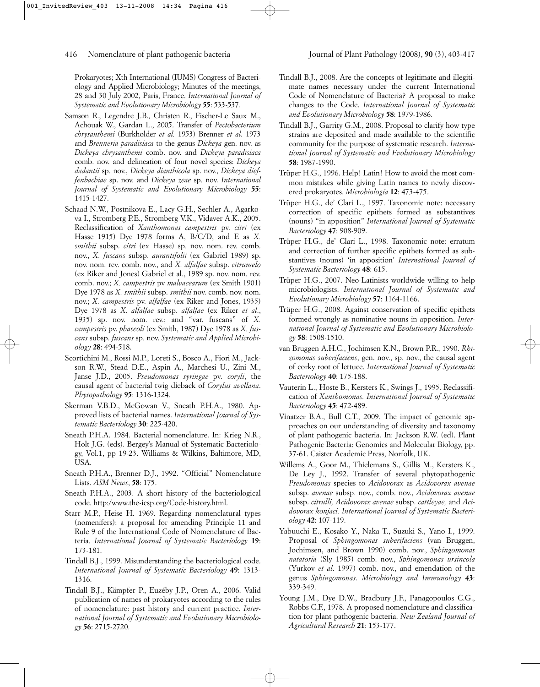Prokaryotes; Xth International (IUMS) Congress of Bacteriology and Applied Microbiology; Minutes of the meetings, 28 and 30 July 2002, Paris, France. *International Journal of Systematic and Evolutionary Microbiology* **55**: 533-537.

- Samson R., Legendre J.B., Christen R., Fischer-Le Saux M., Achouak W., Gardan L., 2005. Transfer of *Pectobacterium chrysanthemi* (Burkholder *et al.* 1953) Brenner *et al*. 1973 and *Brenneria paradisiaca* to the genus *Dickeya* gen. nov. as *Dickeya chrysanthemi* comb. nov. and *Dickeya paradisiaca* comb. nov. and delineation of four novel species: *Dickeya dadantii* sp. nov., *Dickeya dianthicola* sp. nov., *Dickeya dieffenbachiae* sp. nov. and *Dickeya zeae* sp. nov. *International Journal of Systematic and Evolutionary Microbiology* **55**: 1415-1427.
- Schaad N.W., Postnikova E., Lacy G.H., Sechler A., Agarkova I., Stromberg P.E., Stromberg V.K., Vidaver A.K., 2005. Reclassification of *Xanthomonas campestris* pv. *citri* (ex Hasse 1915) Dye 1978 forms A, B/C/D, and E as *X. smithii* subsp. *citri* (ex Hasse) sp. nov. nom. rev. comb. nov., *X. fuscans* subsp. *aurantifolii* (ex Gabriel 1989) sp. nov. nom. rev. comb. nov., and *X. alfalfae* subsp. *citrumelo* (ex Riker and Jones) Gabriel et al., 1989 sp. nov. nom. rev. comb. nov.; *X. campestris* pv *malvacearum* (ex Smith 1901) Dye 1978 as *X. smithii* subsp. *smithii* nov. comb. nov. nom. nov.; *X. campestris* pv. *alfalfae* (ex Riker and Jones, 1935) Dye 1978 as *X. alfalfae* subsp. *alfalfae* (ex Riker *et al*., 1935) sp. nov. nom. rev.; and "var. fuscans" of *X. campestris* pv. *phaseoli* (ex Smith, 1987) Dye 1978 as *X. fuscans* subsp. *fuscans* sp. nov. *Systematic and Applied Microbiology* **28**: 494-518.
- Scortichini M., Rossi M.P., Loreti S., Bosco A., Fiori M., Jackson R.W., Stead D.E., Aspin A., Marchesi U., Zini M., Janse J.D., 2005. *Pseudomonas syringae* pv*. coryli*, the causal agent of bacterial twig dieback of *Corylus avellana*. *Phytopathology* **95**: 1316-1324.
- Skerman V.B.D., McGowan V., Sneath P.H.A., 1980. Approved lists of bacterial names. *International Journal of Systematic Bacteriology* **30**: 225-420.
- Sneath P.H.A. 1984. Bacterial nomenclature. In: Krieg N.R., Holt J.G. (eds). Bergey's Manual of Systematic Bacteriology, Vol.1, pp 19-23. Williams & Wilkins, Baltimore, MD, USA.
- Sneath P.H.A., Brenner D.J., 1992. "Official" Nomenclature Lists. *ASM News*, **58**: 175.
- Sneath P.H.A., 2003. A short history of the bacteriological code. http:/www.the-icsp.org/Code-history.html.
- Starr M.P., Heise H. 1969. Regarding nomenclatural types (nomenifers): a proposal for amending Principle 11 and Rule 9 of the International Code of Nomenclature of Bacteria. *International Journal of Systematic Bacteriology* **19**: 173-181.
- Tindall B.J., 1999. Misunderstanding the bacteriological code. *International Journal of Systematic Bacteriology* **49**: 1313- 1316.
- Tindall B.J., Kämpfer P., Euzéby J.P., Oren A., 2006. Valid publication of names of prokaryotes according to the rules of nomenclature: past history and current practice. *International Journal of Systematic and Evolutionary Microbiology* **56**: 2715-2720.
- Tindall B.J., 2008. Are the concepts of legitimate and illegitimate names necessary under the current International Code of Nomenclature of Bacteria? A proposal to make changes to the Code. *International Journal of Systematic and Evolutionary Microbiology* **58**: 1979-1986.
- Tindall B.J., Garrity G.M., 2008. Proposal to clarify how type strains are deposited and made available to the scientific community for the purpose of systematic research. *International Journal of Systematic and Evolutionary Microbiology* **58**: 1987-1990.
- Trüper H.G., 1996. Help! Latin! How to avoid the most common mistakes while giving Latin names to newly discovered prokaryotes. *Microbiología* **12**: 473-475.
- Trüper H.G., de' Clari L., 1997. Taxonomic note: necessary correction of specific epithets formed as substantives (nouns) "in apposition" *International Journal of Systematic Bacteriology* **47**: 908-909.
- Trüper H.G., de' Clari L., 1998. Taxonomic note: erratum and correction of further specific epithets formed as substantives (nouns) 'in apposition' *International Journal of Systematic Bacteriology* **48**: 615.
- Trüper H.G., 2007. Neo-Latinists worldwide willing to help microbiologists. *International Journal of Systematic and Evolutionary Microbiology* **57**: 1164-1166.
- Trüper H.G., 2008. Against conservation of specific epithets formed wrongly as nominative nouns in apposition. *International Journal of Systematic and Evolutionary Microbiology* **58**: 1508-1510.
- van Bruggen A.H.C., Jochimsen K.N., Brown P.R., 1990. *Rhizomonas suberifaciens*, gen. nov., sp. nov., the causal agent of corky root of lettuce. *International Journal of Systematic Bacteriology* **40**: 175-188.
- Vauterin L., Hoste B., Kersters K., Swings J., 1995. Reclassification of *Xanthomonas. International Journal of Systematic Bacteriology* **45**: 472-489.
- Vinatzer B.A., Bull C.T., 2009. The impact of genomic approaches on our understanding of diversity and taxonomy of plant pathogenic bacteria. In: Jackson R.W. (ed). Plant Pathogenic Bacteria: Genomics and Molecular Biology, pp. 37-61. Caister Academic Press, Norfolk, UK.
- Willems A., Goor M., Thielemans S., Gillis M., Kersters K., De Ley J., 1992. Transfer of several phytopathogenic *Pseudomonas* species to *Acidovorax* as *Acidovorax avenae* subsp. *avenae* subsp. nov., comb. nov., *Acidovorax avenae* subsp. *citrulli, Acidovorax avenae* subsp. *cattleyae,* and *Acidovorax konjaci. International Journal of Systematic Bacteriology* **42**: 107-119.
- Yabuuchi E., Kosako Y., Naka T., Suzuki S., Yano I., 1999. Proposal of *Sphingomonas suberifaciens* (van Bruggen, Jochimsen, and Brown 1990) comb. nov., *Sphingomonas natatoria* (Sly 1985) comb. nov., *Sphingomonas ursincola* (Yurkov *et al*. 1997) comb. nov., and emendation of the genus *Sphingomonas*. *Microbiology and Immunology* **43**: 339-349.
- Young J.M., Dye D.W., Bradbury J.F., Panagopoulos C.G., Robbs C.F., 1978. A proposed nomenclature and classification for plant pathogenic bacteria. *New Zealand Journal of Agricultural Research* **21**: 153-177.